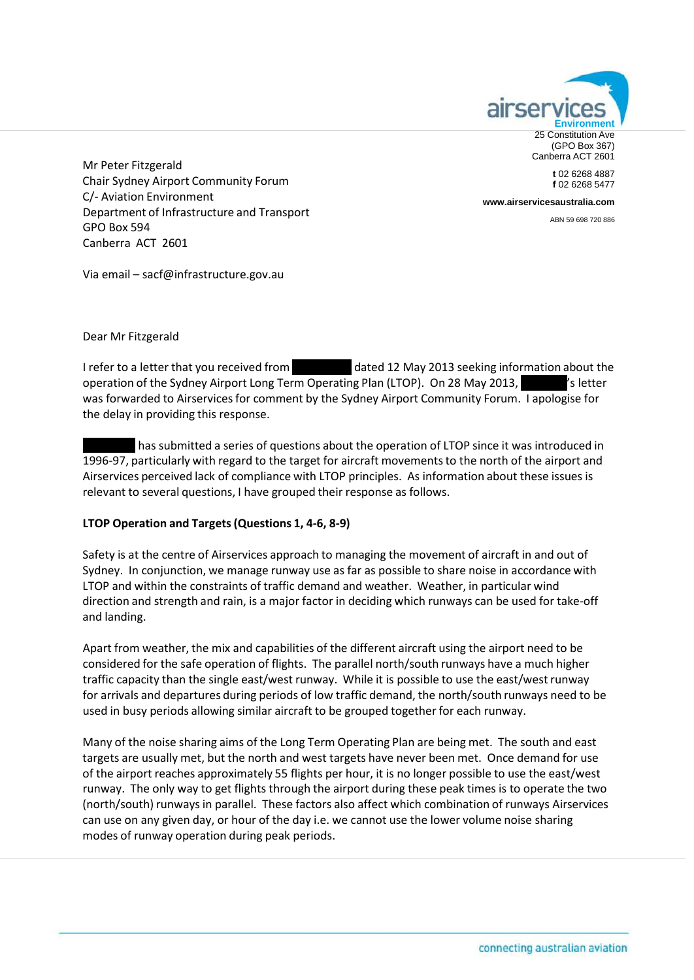

**t** 02 6268 4887 **f** 02 6268 5477

Mr Peter Fitzgerald Chair Sydney Airport Community Forum C/‐ Aviation Environment Department of Infrastructure and Transport GPO Box 594 Canberra ACT 2601

**[www.airservicesaustralia.com](http://www.airservicesaustralia.com/)**

ABN 59 698 720 886

Via email – [sacf@infrastructure.gov.au](mailto:sacf@infrastructure.gov.au)

Dear Mr Fitzgerald

I refer to a letter that you received from  $\blacksquare$  dated 12 May 2013 seeking information about the operation of the Sydney Airport Long Term Operating Plan (LTOP). On 28 May 2013, XXXX: Setter was forwarded to Airservicesfor comment by the Sydney Airport Community Forum. I apologise for the delay in providing this response.

has submitted a series of questions about the operation of LTOP since it was introduced in 1996-97, particularly with regard to the target for aircraft movements to the north of the airport and Airservices perceived lack of compliance with LTOP principles. As information about these issues is relevant to several questions, I have grouped their response as follows.

# **LTOP Operation and Targets(Questions 1, 4‐6, 8‐9)**

Safety is at the centre of Airservices approach to managing the movement of aircraft in and out of Sydney. In conjunction, we manage runway use as far as possible to share noise in accordance with LTOP and within the constraints of traffic demand and weather. Weather, in particular wind direction and strength and rain, is a major factor in deciding which runways can be used for take‐off and landing.

Apart from weather, the mix and capabilities of the different aircraft using the airport need to be considered for the safe operation of flights. The parallel north/south runways have a much higher traffic capacity than the single east/west runway. While it is possible to use the east/west runway for arrivals and departures during periods of low traffic demand, the north/south runways need to be used in busy periods allowing similar aircraft to be grouped together for each runway.

Many of the noise sharing aims of the Long Term Operating Plan are being met. The south and east targets are usually met, but the north and west targets have never been met. Once demand for use of the airport reaches approximately 55 flights per hour, it is no longer possible to use the east/west runway. The only way to get flights through the airport during these peak times is to operate the two (north/south)runways in parallel. These factors also affect which combination of runways Airservices can use on any given day, or hour of the day i.e. we cannot use the lower volume noise sharing modes of runway operation during peak periods.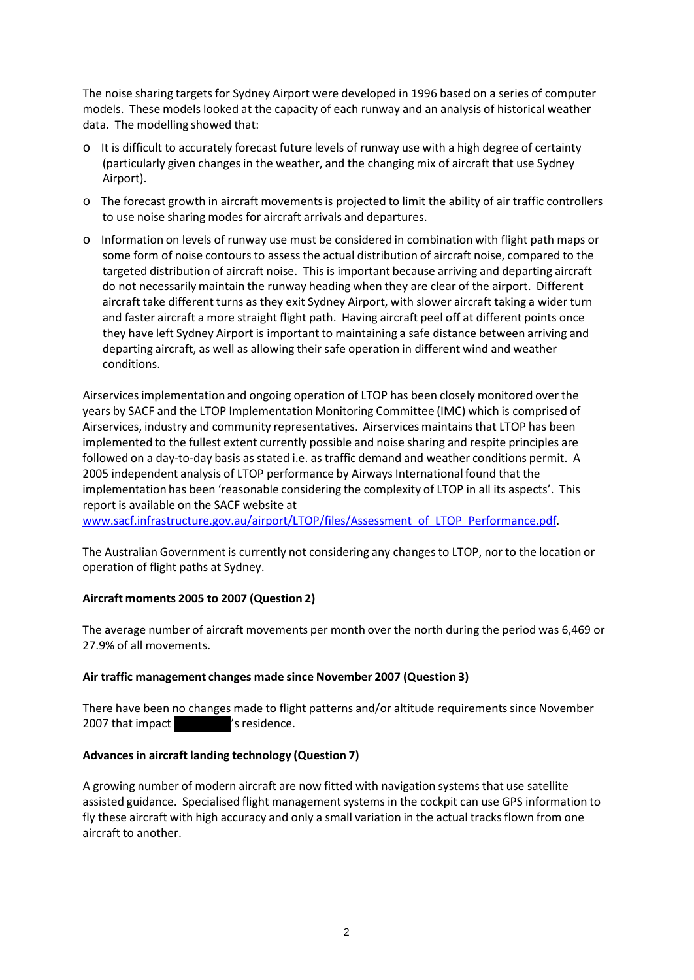The noise sharing targets for Sydney Airport were developed in 1996 based on a series of computer models. These models looked at the capacity of each runway and an analysis of historical weather data. The modelling showed that:

- $\circ$  It is difficult to accurately forecast future levels of runway use with a high degree of certainty (particularly given changes in the weather, and the changing mix of aircraft that use Sydney Airport).
- o The forecast growth in aircraft movementsis projected to limit the ability of air traffic controllers to use noise sharing modes for aircraft arrivals and departures.
- o Information on levels of runway use must be considered in combination with flight path maps or some form of noise contours to assess the actual distribution of aircraft noise, compared to the targeted distribution of aircraft noise. This is important because arriving and departing aircraft do not necessarily maintain the runway heading when they are clear of the airport. Different aircraft take different turns as they exit Sydney Airport, with slower aircraft taking a wider turn and faster aircraft a more straight flight path. Having aircraft peel off at different points once they have left Sydney Airport is important to maintaining a safe distance between arriving and departing aircraft, as well as allowing their safe operation in different wind and weather conditions.

Airservicesimplementation and ongoing operation of LTOP has been closely monitored over the years by SACF and the LTOP Implementation Monitoring Committee (IMC) which is comprised of Airservices, industry and community representatives. Airservices maintainsthat LTOP has been implemented to the fullest extent currently possible and noise sharing and respite principles are followed on a day-to-day basis as stated i.e. as traffic demand and weather conditions permit. A 2005 independent analysis of LTOP performance by Airways International found that the implementation has been 'reasonable considering the complexity of LTOP in all its aspects'. This report is available on the SACF website at

[www.sacf.infrastructure.gov.au/airport/LTOP/files/Assessment\\_of\\_LTOP\\_Performance.pdf.](http://www.sacf.infrastructure.gov.au/airport/LTOP/files/Assessment_of_LTOP_Performance.pdf)

The Australian Government is currently not considering any changes to LTOP, nor to the location or operation of flight paths at Sydney.

# **Aircraft moments 2005 to 2007 (Question 2)**

The average number of aircraft movements per month over the north during the period was 6,469 or 27.9% of all movements.

# **Air traffic management changes made since November 2007 (Question 3)**

There have been no changes made to flight patterns and/or altitude requirementssince November 2007 that impact Ys residence.

# **Advancesin aircraft landing technology (Question 7)**

A growing number of modern aircraft are now fitted with navigation systems that use satellite assisted guidance. Specialised flight management systems in the cockpit can use GPS information to fly these aircraft with high accuracy and only a small variation in the actual tracks flown from one aircraft to another.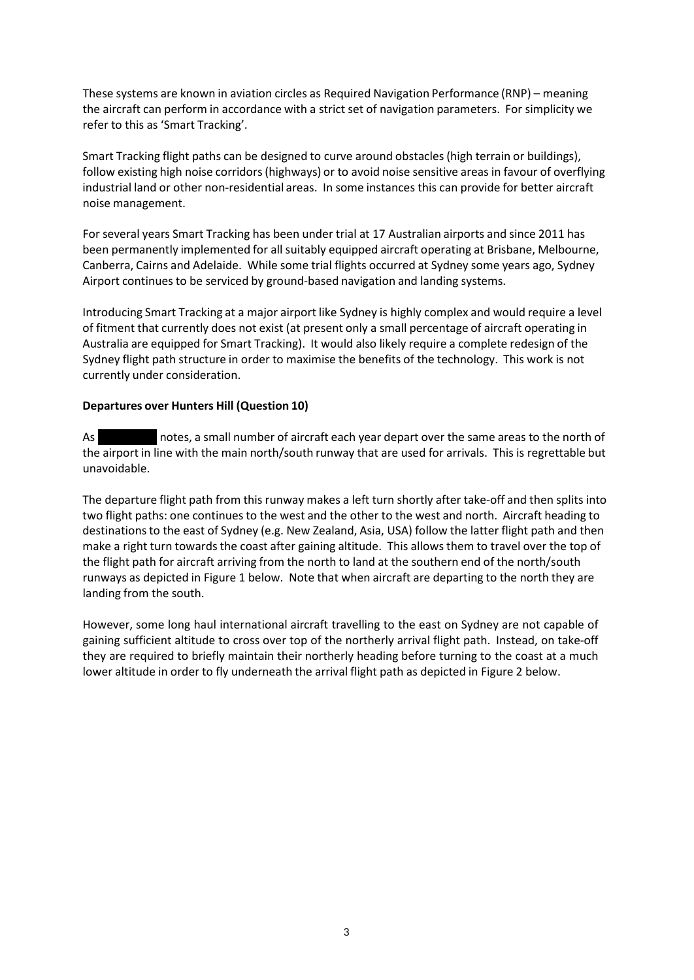These systems are known in aviation circles as Required Navigation Performance (RNP) – meaning the aircraft can perform in accordance with a strict set of navigation parameters. For simplicity we refer to this as 'Smart Tracking'.

Smart Tracking flight paths can be designed to curve around obstacles(high terrain or buildings), follow existing high noise corridors(highways) or to avoid noise sensitive areas in favour of overflying industrial land or other non‐residential areas. In some instances this can provide for better aircraft noise management.

For several years Smart Tracking has been under trial at 17 Australian airports and since 2011 has been permanently implemented for all suitably equipped aircraft operating at Brisbane, Melbourne, Canberra, Cairns and Adelaide. While some trial flights occurred at Sydney some years ago, Sydney Airport continues to be serviced by ground‐based navigation and landing systems.

Introducing Smart Tracking at a major airport like Sydney is highly complex and would require a level of fitment that currently does not exist (at present only a small percentage of aircraft operating in Australia are equipped for Smart Tracking). It would also likely require a complete redesign of the Sydney flight path structure in order to maximise the benefits of the technology. This work is not currently under consideration.

# **Departures over Hunters Hill (Question 10)**

As notes, a small number of aircraft each year depart over the same areas to the north of the airport in line with the main north/south runway that are used for arrivals. This is regrettable but unavoidable.

The departure flight path from this runway makes a left turn shortly after take‐off and then splits into two flight paths: one continues to the west and the other to the west and north. Aircraft heading to destinationsto the east of Sydney (e.g. New Zealand, Asia, USA) follow the latter flight path and then make a right turn towards the coast after gaining altitude. This allows them to travel over the top of the flight path for aircraft arriving from the north to land at the southern end of the north/south runways as depicted in Figure 1 below. Note that when aircraft are departing to the north they are landing from the south.

However, some long haul international aircraft travelling to the east on Sydney are not capable of gaining sufficient altitude to cross over top of the northerly arrival flight path. Instead, on take‐off they are required to briefly maintain their northerly heading before turning to the coast at a much lower altitude in order to fly underneath the arrival flight path as depicted in Figure 2 below.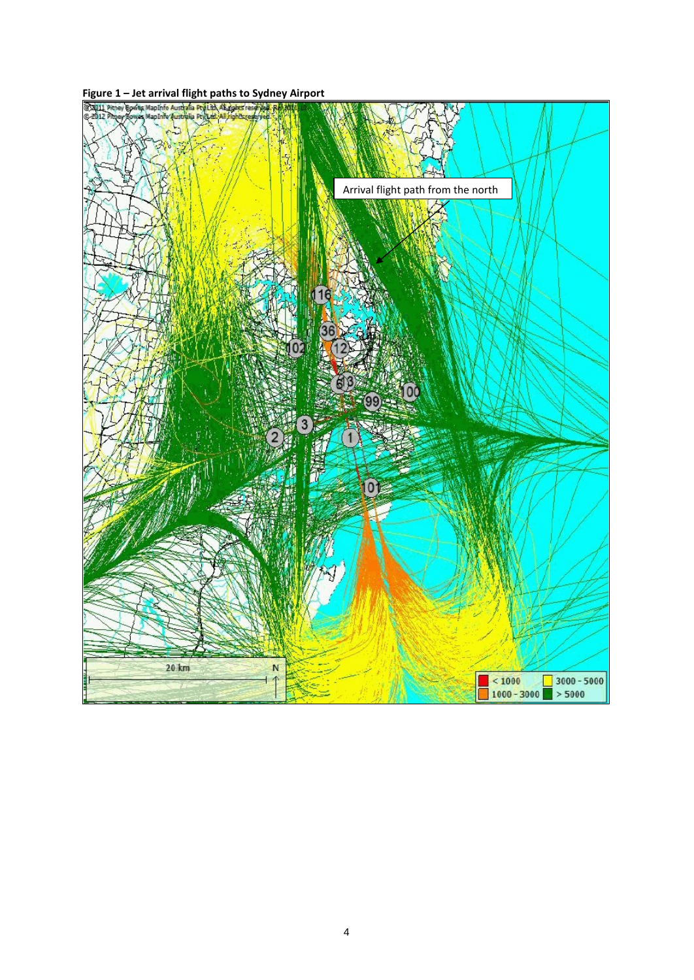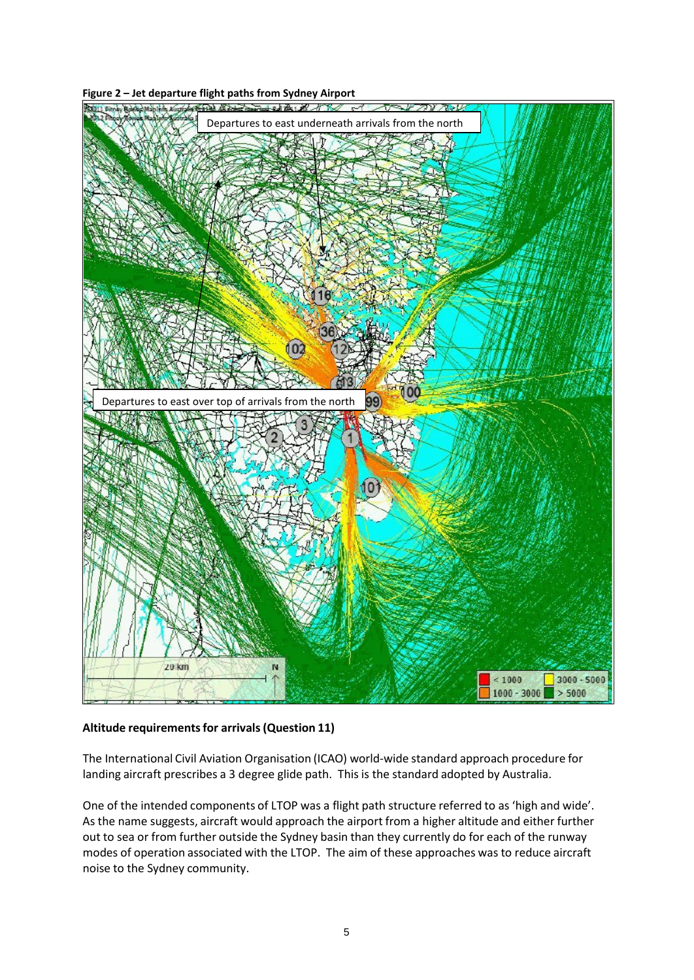### **Figure 2 – Jet departure flight paths from Sydney Airport**



# **Altitude requirementsfor arrivals(Question 11)**

The International Civil Aviation Organisation (ICAO) world‐wide standard approach procedure for landing aircraft prescribes a 3 degree glide path. This is the standard adopted by Australia.

One of the intended components of LTOP was a flight path structure referred to as 'high and wide'. As the name suggests, aircraft would approach the airport from a higher altitude and either further out to sea or from further outside the Sydney basin than they currently do for each of the runway modes of operation associated with the LTOP. The aim of these approaches was to reduce aircraft noise to the Sydney community.